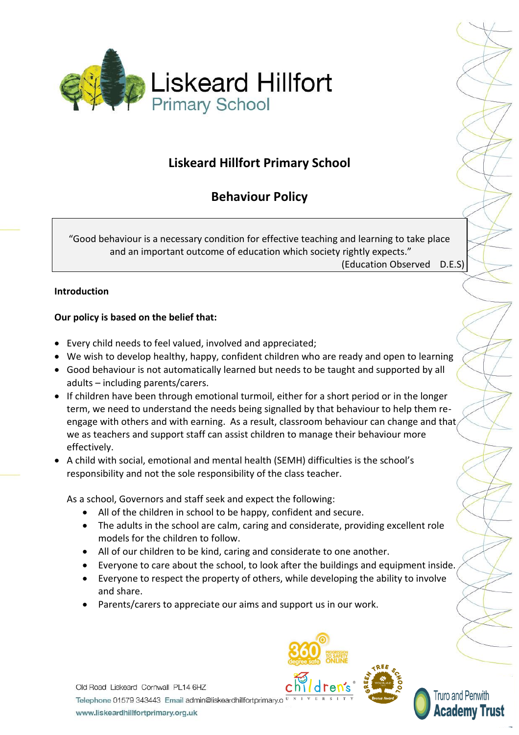

# **Liskeard Hillfort Primary School**

# **Behaviour Policy**

"Good behaviour is a necessary condition for effective teaching and learning to take place and an important outcome of education which society rightly expects." (Education Observed D.E.S)

# **Introduction**

# **Our policy is based on the belief that:**

- Every child needs to feel valued, involved and appreciated;
- We wish to develop healthy, happy, confident children who are ready and open to learning
- Good behaviour is not automatically learned but needs to be taught and supported by all adults – including parents/carers.
- If children have been through emotional turmoil, either for a short period or in the longer term, we need to understand the needs being signalled by that behaviour to help them reengage with others and with earning. As a result, classroom behaviour can change and that we as teachers and support staff can assist children to manage their behaviour more effectively.
- A child with social, emotional and mental health (SEMH) difficulties is the school's responsibility and not the sole responsibility of the class teacher.

As a school, Governors and staff seek and expect the following:

- All of the children in school to be happy, confident and secure.
- The adults in the school are calm, caring and considerate, providing excellent role models for the children to follow.
- All of our children to be kind, caring and considerate to one another.
- Everyone to care about the school, to look after the buildings and equipment inside.
- Everyone to respect the property of others, while developing the ability to involve and share.
- Parents/carers to appreciate our aims and support us in our work.

Old Road Liskeard Cornwall PL14 6HZ Telephone 01579 343443 Email admin@liskeardhillfortprimary.o www.liskeardhillfortprimary.org.uk





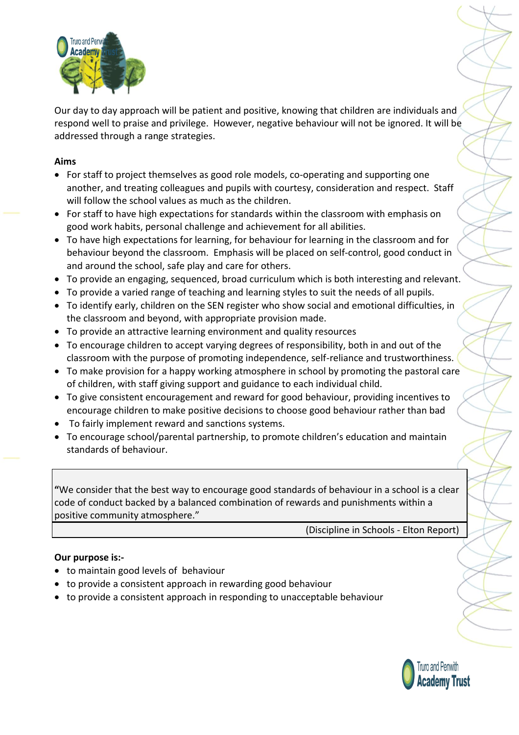

Our day to day approach will be patient and positive, knowing that children are individuals and respond well to praise and privilege. However, negative behaviour will not be ignored. It will be addressed through a range strategies.

## **Aims**

- For staff to project themselves as good role models, co-operating and supporting one another, and treating colleagues and pupils with courtesy, consideration and respect. Staff will follow the school values as much as the children.
- For staff to have high expectations for standards within the classroom with emphasis on good work habits, personal challenge and achievement for all abilities.
- To have high expectations for learning, for behaviour for learning in the classroom and for behaviour beyond the classroom. Emphasis will be placed on self-control, good conduct in and around the school, safe play and care for others.
- To provide an engaging, sequenced, broad curriculum which is both interesting and relevant.
- To provide a varied range of teaching and learning styles to suit the needs of all pupils.
- To identify early, children on the SEN register who show social and emotional difficulties, in the classroom and beyond, with appropriate provision made.
- To provide an attractive learning environment and quality resources
- To encourage children to accept varying degrees of responsibility, both in and out of the classroom with the purpose of promoting independence, self-reliance and trustworthiness.
- To make provision for a happy working atmosphere in school by promoting the pastoral care of children, with staff giving support and guidance to each individual child.
- To give consistent encouragement and reward for good behaviour, providing incentives to encourage children to make positive decisions to choose good behaviour rather than bad
- To fairly implement reward and sanctions systems.
- To encourage school/parental partnership, to promote children's education and maintain standards of behaviour.

**"**We consider that the best way to encourage good standards of behaviour in a school is a clear code of conduct backed by a balanced combination of rewards and punishments within a positive community atmosphere."

(Discipline in Schools - Elton Report)

#### **Our purpose is:-**

- to maintain good levels of behaviour
- to provide a consistent approach in rewarding good behaviour
- to provide a consistent approach in responding to unacceptable behaviour

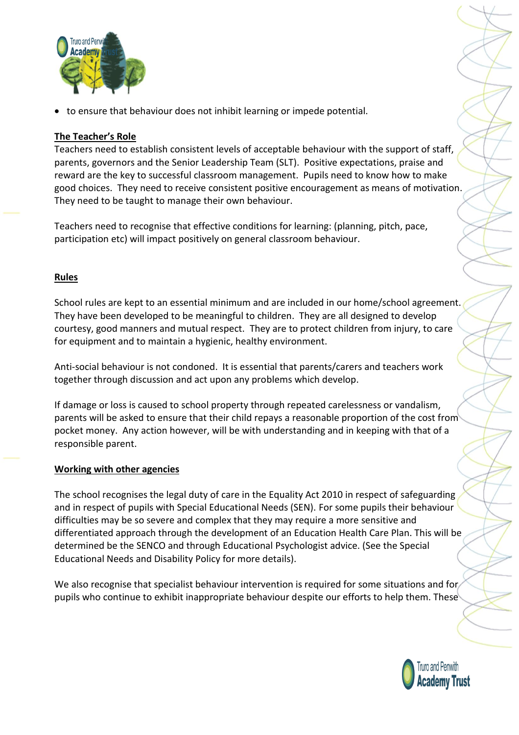

to ensure that behaviour does not inhibit learning or impede potential.

## **The Teacher's Role**

Teachers need to establish consistent levels of acceptable behaviour with the support of staff, parents, governors and the Senior Leadership Team (SLT). Positive expectations, praise and reward are the key to successful classroom management. Pupils need to know how to make good choices. They need to receive consistent positive encouragement as means of motivation. They need to be taught to manage their own behaviour.

Teachers need to recognise that effective conditions for learning: (planning, pitch, pace, participation etc) will impact positively on general classroom behaviour.

## **Rules**

School rules are kept to an essential minimum and are included in our home/school agreement. They have been developed to be meaningful to children. They are all designed to develop courtesy, good manners and mutual respect. They are to protect children from injury, to care for equipment and to maintain a hygienic, healthy environment.

Anti-social behaviour is not condoned. It is essential that parents/carers and teachers work together through discussion and act upon any problems which develop.

If damage or loss is caused to school property through repeated carelessness or vandalism, parents will be asked to ensure that their child repays a reasonable proportion of the cost from pocket money. Any action however, will be with understanding and in keeping with that of a responsible parent.

## **Working with other agencies**

The school recognises the legal duty of care in the Equality Act 2010 in respect of safeguarding and in respect of pupils with Special Educational Needs (SEN). For some pupils their behaviour difficulties may be so severe and complex that they may require a more sensitive and differentiated approach through the development of an Education Health Care Plan. This will be determined be the SENCO and through Educational Psychologist advice. (See the Special Educational Needs and Disability Policy for more details).

We also recognise that specialist behaviour intervention is required for some situations and for pupils who continue to exhibit inappropriate behaviour despite our efforts to help them. These

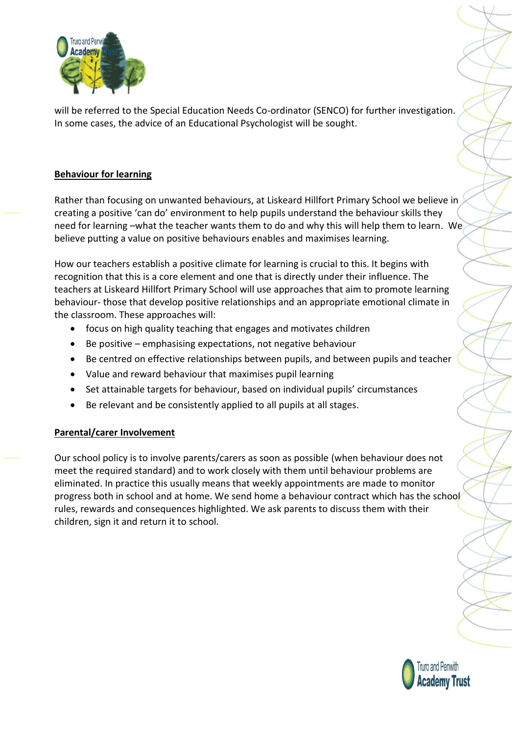

will be referred to the Special Education Needs Co-ordinator (SENCO) for further investigation. In some cases, the advice of an Educational Psychologist will be sought.

# **Behaviour for learning**

Rather than focusing on unwanted behaviours, at Liskeard Hillfort Primary School we believe in creating a positive 'can do' environment to help pupils understand the behaviour skills they need for learning –what the teacher wants them to do and why this will help them to learn. We believe putting a value on positive behaviours enables and maximises learning.

How our teachers establish a positive climate for learning is crucial to this. It begins with recognition that this is a core element and one that is directly under their influence. The teachers at Liskeard Hillfort Primary School will use approaches that aim to promote learning behaviour- those that develop positive relationships and an appropriate emotional climate in the classroom. These approaches will:

- focus on high quality teaching that engages and motivates children
- $\bullet$  Be positive emphasising expectations, not negative behaviour
- Be centred on effective relationships between pupils, and between pupils and teacher
- Value and reward behaviour that maximises pupil learning
- Set attainable targets for behaviour, based on individual pupils' circumstances
- Be relevant and be consistently applied to all pupils at all stages.

## **Parental/carer Involvement**

Our school policy is to involve parents/carers as soon as possible (when behaviour does not meet the required standard) and to work closely with them until behaviour problems are eliminated. In practice this usually means that weekly appointments are made to monitor progress both in school and at home. We send home a behaviour contract which has the school rules, rewards and consequences highlighted. We ask parents to discuss them with their children, sign it and return it to school.

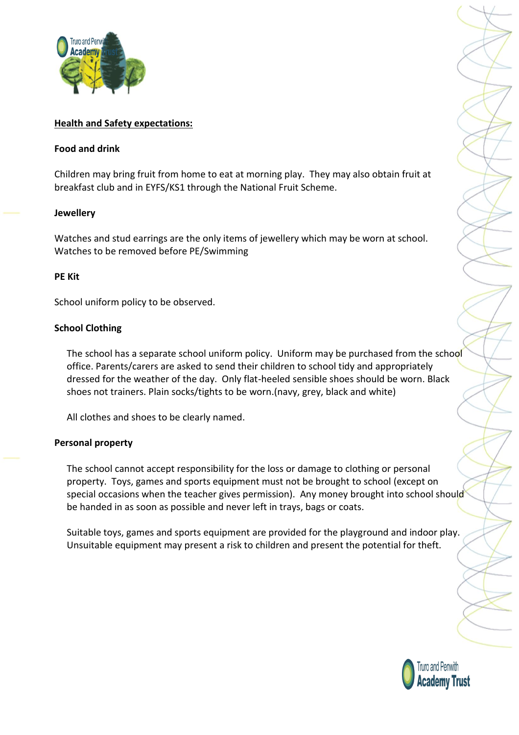

### **Health and Safety expectations:**

#### **Food and drink**

Children may bring fruit from home to eat at morning play. They may also obtain fruit at breakfast club and in EYFS/KS1 through the National Fruit Scheme.

#### **Jewellery**

Watches and stud earrings are the only items of jewellery which may be worn at school. Watches to be removed before PE/Swimming

#### **PE Kit**

School uniform policy to be observed.

## **School Clothing**

The school has a separate school uniform policy. Uniform may be purchased from the school office. Parents/carers are asked to send their children to school tidy and appropriately dressed for the weather of the day. Only flat-heeled sensible shoes should be worn. Black shoes not trainers. Plain socks/tights to be worn.(navy, grey, black and white)

All clothes and shoes to be clearly named.

## **Personal property**

The school cannot accept responsibility for the loss or damage to clothing or personal property. Toys, games and sports equipment must not be brought to school (except on special occasions when the teacher gives permission). Any money brought into school should be handed in as soon as possible and never left in trays, bags or coats.

Suitable toys, games and sports equipment are provided for the playground and indoor play. Unsuitable equipment may present a risk to children and present the potential for theft.

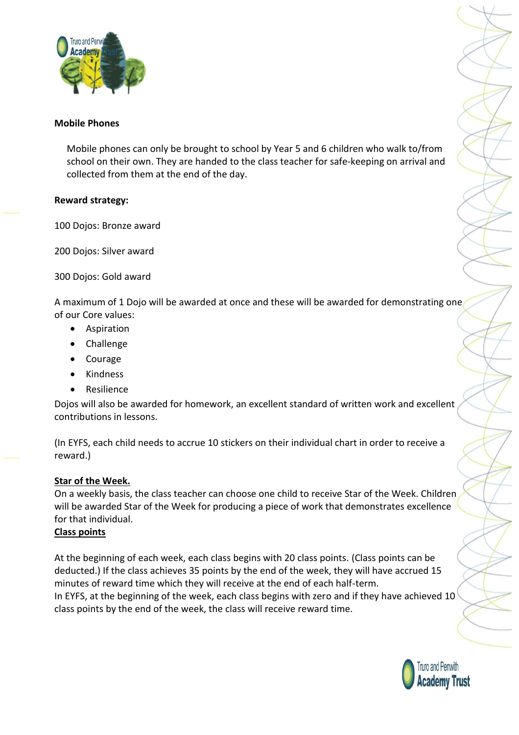

#### **Mobile Phones**

Mobile phones can only be brought to school by Year 5 and 6 children who walk to/from school on their own. They are handed to the class teacher for safe-keeping on arrival and collected from them at the end of the day.

#### **Reward strategy:**

100 Dojos: Bronze award

200 Dojos: Silver award

300 Dojos: Gold award

A maximum of 1 Dojo will be awarded at once and these will be awarded for demonstrating one of our Core values:

- Aspiration
- Challenge
- Courage
- Kindness
- Resilience

Dojos will also be awarded for homework, an excellent standard of written work and excellent contributions in lessons.

(In EYFS, each child needs to accrue 10 stickers on their individual chart in order to receive a reward.)

## **Star of the Week.**

On a weekly basis, the class teacher can choose one child to receive Star of the Week. Children will be awarded Star of the Week for producing a piece of work that demonstrates excellence for that individual.

## **Class points**

At the beginning of each week, each class begins with 20 class points. (Class points can be deducted.) If the class achieves 35 points by the end of the week, they will have accrued 15 minutes of reward time which they will receive at the end of each half-term. In EYFS, at the beginning of the week, each class begins with zero and if they have achieved 10 class points by the end of the week, the class will receive reward time.

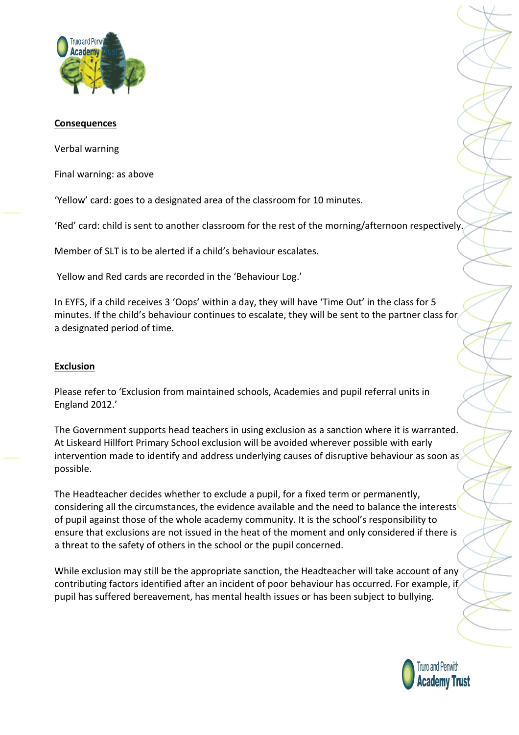

#### **Consequences**

Verbal warning

Final warning: as above

'Yellow' card: goes to a designated area of the classroom for 10 minutes.

'Red' card: child is sent to another classroom for the rest of the morning/afternoon respectively.

Member of SLT is to be alerted if a child's behaviour escalates.

Yellow and Red cards are recorded in the 'Behaviour Log.'

In EYFS, if a child receives 3 'Oops' within a day, they will have 'Time Out' in the class for 5 minutes. If the child's behaviour continues to escalate, they will be sent to the partner class for a designated period of time.

#### **Exclusion**

Please refer to 'Exclusion from maintained schools, Academies and pupil referral units in England 2012.'

The Government supports head teachers in using exclusion as a sanction where it is warranted. At Liskeard Hillfort Primary School exclusion will be avoided wherever possible with early intervention made to identify and address underlying causes of disruptive behaviour as soon as possible.

The Headteacher decides whether to exclude a pupil, for a fixed term or permanently, considering all the circumstances, the evidence available and the need to balance the interests of pupil against those of the whole academy community. It is the school's responsibility to ensure that exclusions are not issued in the heat of the moment and only considered if there is a threat to the safety of others in the school or the pupil concerned.

While exclusion may still be the appropriate sanction, the Headteacher will take account of any contributing factors identified after an incident of poor behaviour has occurred. For example, if pupil has suffered bereavement, has mental health issues or has been subject to bullying.

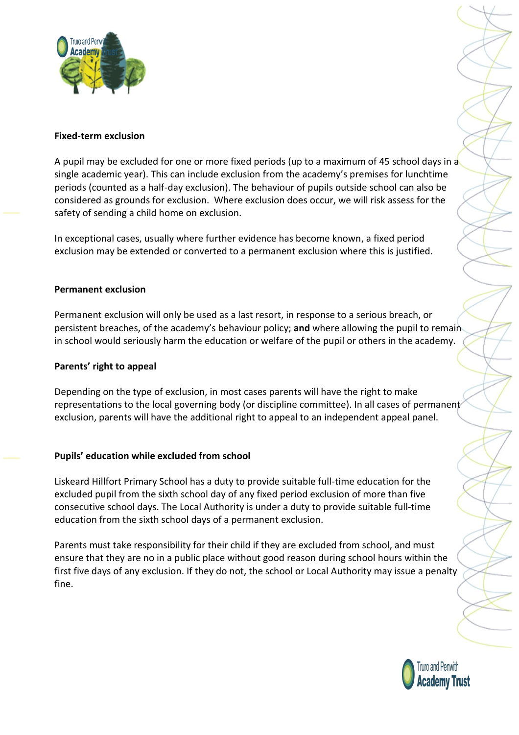

## **Fixed-term exclusion**

A pupil may be excluded for one or more fixed periods (up to a maximum of 45 school days in a single academic year). This can include exclusion from the academy's premises for lunchtime periods (counted as a half-day exclusion). The behaviour of pupils outside school can also be considered as grounds for exclusion. Where exclusion does occur, we will risk assess for the safety of sending a child home on exclusion.

In exceptional cases, usually where further evidence has become known, a fixed period exclusion may be extended or converted to a permanent exclusion where this is justified.

#### **Permanent exclusion**

Permanent exclusion will only be used as a last resort, in response to a serious breach, or persistent breaches, of the academy's behaviour policy; **and** where allowing the pupil to remain in school would seriously harm the education or welfare of the pupil or others in the academy.

#### **Parents' right to appeal**

Depending on the type of exclusion, in most cases parents will have the right to make representations to the local governing body (or discipline committee). In all cases of permanent exclusion, parents will have the additional right to appeal to an independent appeal panel.

#### **Pupils' education while excluded from school**

Liskeard Hillfort Primary School has a duty to provide suitable full-time education for the excluded pupil from the sixth school day of any fixed period exclusion of more than five consecutive school days. The Local Authority is under a duty to provide suitable full-time education from the sixth school days of a permanent exclusion.

Parents must take responsibility for their child if they are excluded from school, and must ensure that they are no in a public place without good reason during school hours within the first five days of any exclusion. If they do not, the school or Local Authority may issue a penalty fine.

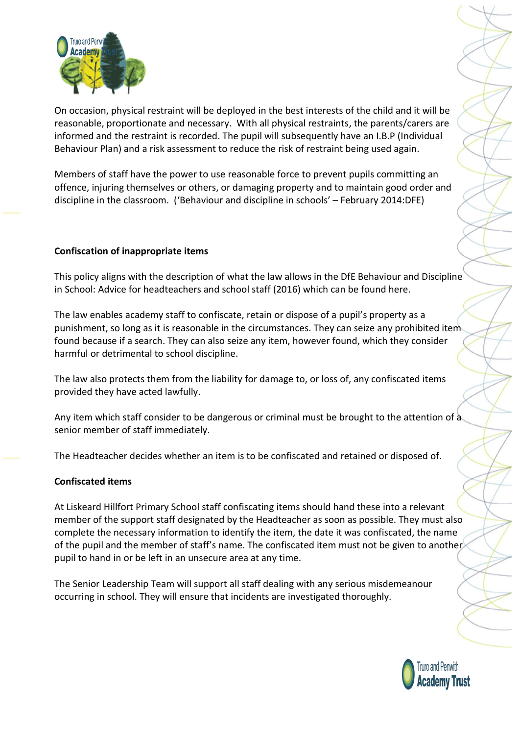

On occasion, physical restraint will be deployed in the best interests of the child and it will be reasonable, proportionate and necessary. With all physical restraints, the parents/carers are informed and the restraint is recorded. The pupil will subsequently have an I.B.P (Individual Behaviour Plan) and a risk assessment to reduce the risk of restraint being used again.

Members of staff have the power to use reasonable force to prevent pupils committing an offence, injuring themselves or others, or damaging property and to maintain good order and discipline in the classroom. ('Behaviour and discipline in schools' – February 2014:DFE)

# **Confiscation of inappropriate items**

This policy aligns with the description of what the law allows in the DfE Behaviour and Discipline in School: Advice for headteachers and school staff (2016) which can be found here.

The law enables academy staff to confiscate, retain or dispose of a pupil's property as a punishment, so long as it is reasonable in the circumstances. They can seize any prohibited item found because if a search. They can also seize any item, however found, which they consider harmful or detrimental to school discipline.

The law also protects them from the liability for damage to, or loss of, any confiscated items provided they have acted lawfully.

Any item which staff consider to be dangerous or criminal must be brought to the attention of a senior member of staff immediately.

The Headteacher decides whether an item is to be confiscated and retained or disposed of.

## **Confiscated items**

At Liskeard Hillfort Primary School staff confiscating items should hand these into a relevant member of the support staff designated by the Headteacher as soon as possible. They must also complete the necessary information to identify the item, the date it was confiscated, the name of the pupil and the member of staff's name. The confiscated item must not be given to another pupil to hand in or be left in an unsecure area at any time.

The Senior Leadership Team will support all staff dealing with any serious misdemeanour occurring in school. They will ensure that incidents are investigated thoroughly.

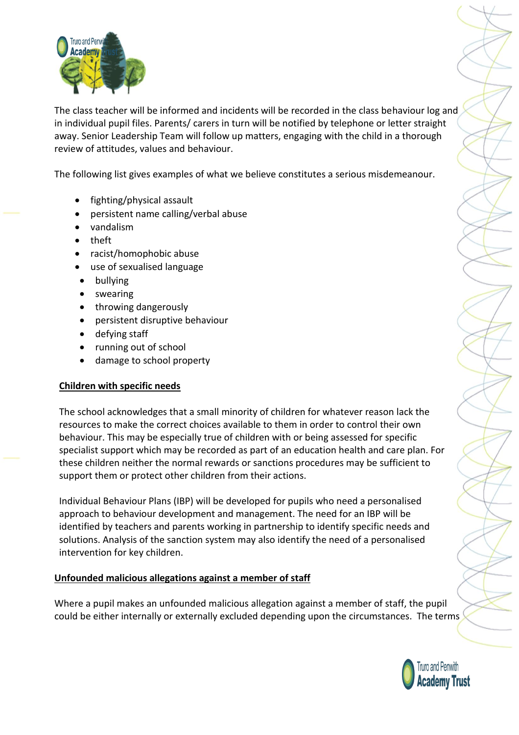

The class teacher will be informed and incidents will be recorded in the class behaviour log and in individual pupil files. Parents/ carers in turn will be notified by telephone or letter straight away. Senior Leadership Team will follow up matters, engaging with the child in a thorough review of attitudes, values and behaviour.

The following list gives examples of what we believe constitutes a serious misdemeanour.

- fighting/physical assault
- persistent name calling/verbal abuse
- vandalism
- theft
- racist/homophobic abuse
- use of sexualised language
- bullying
- swearing
- throwing dangerously
- persistent disruptive behaviour
- defying staff
- running out of school
- damage to school property

## **Children with specific needs**

The school acknowledges that a small minority of children for whatever reason lack the resources to make the correct choices available to them in order to control their own behaviour. This may be especially true of children with or being assessed for specific specialist support which may be recorded as part of an education health and care plan. For these children neither the normal rewards or sanctions procedures may be sufficient to support them or protect other children from their actions.

Individual Behaviour Plans (IBP) will be developed for pupils who need a personalised approach to behaviour development and management. The need for an IBP will be identified by teachers and parents working in partnership to identify specific needs and solutions. Analysis of the sanction system may also identify the need of a personalised intervention for key children.

## **Unfounded malicious allegations against a member of staff**

Where a pupil makes an unfounded malicious allegation against a member of staff, the pupil could be either internally or externally excluded depending upon the circumstances. The terms